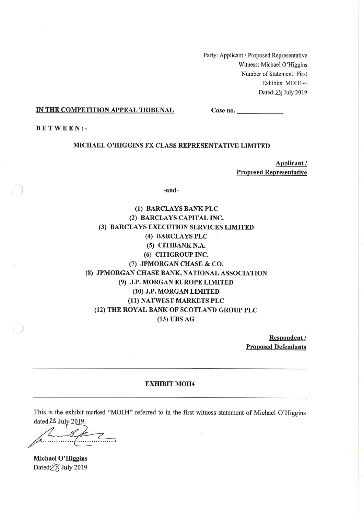Party: Applicant / Proposed Representative Witness: Michael O'Higgins Number of Statement: First Exhibits: MOH1-4 Dated: 28 July 2019

#### IN THE COMPETITION APPEAL TRIBUNAL

 $Case no.$ 

**BETWEEN:-**

#### MICHAEL O'HIGGINS FX CLASS REPRESENTATIVE LIMITED

Applicant/ **Proposed Representative** 

-and-

(1) BARCLAYS BANK PLC (2) BARCLAYS CAPITAL INC. (3) BARCLAYS EXECUTION SERVICES LIMITED (4) BARCLAYS PLC (5) CITIBANK N.A. (6) CITIGROUP INC. (7) JPMORGAN CHASE & CO. (8) JPMORGAN CHASE BANK, NATIONAL ASSOCIATION (9) J.P. MORGAN EUROPE LIMITED (10) J.P. MORGAN LIMITED (11) NATWEST MARKETS PLC (12) THE ROYAL BANK OF SCOTLAND GROUP PLC  $(13)$  UBS AG

> Respondent / **Proposed Defendants**

#### **EXHIBIT MOH4**

This is the exhibit marked "MOH4" referred to in the first witness statement of Michael O'Higgins dated 2\$ July 2019.

 $\overline{\mathscr{K}}$ 

Michael O'Higgins Dated:28 July 2019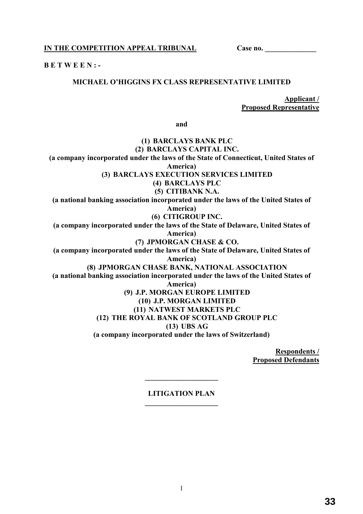**IN THE COMPETITION APPEAL TRIBUNAL Case no. \_\_\_\_\_\_\_\_\_\_\_\_\_\_** 

**B E T W E E N : -** 

## **MICHAEL O'HIGGINS FX CLASS REPRESENTATIVE LIMITED**

**Applicant / Proposed Representative** 

**and** 

## **(1) BARCLAYS BANK PLC (2) BARCLAYS CAPITAL INC. (a company incorporated under the laws of the State of Connecticut, United States of America) (3) BARCLAYS EXECUTION SERVICES LIMITED (4) BARCLAYS PLC (5) CITIBANK N.A. (a national banking association incorporated under the laws of the United States of America) (6) CITIGROUP INC. (a company incorporated under the laws of the State of Delaware, United States of America) (7) JPMORGAN CHASE & CO. (a company incorporated under the laws of the State of Delaware, United States of America) (8) JPMORGAN CHASE BANK, NATIONAL ASSOCIATION (a national banking association incorporated under the laws of the United States of America) (9) J.P. MORGAN EUROPE LIMITED (10) J.P. MORGAN LIMITED (11) NATWEST MARKETS PLC (12) THE ROYAL BANK OF SCOTLAND GROUP PLC (13) UBS AG (a company incorporated under the laws of Switzerland)**

**Respondents / Proposed Defendants** 

## **LITIGATION PLAN \_\_\_\_\_\_\_\_\_\_\_\_\_\_\_\_\_\_\_\_**

**\_\_\_\_\_\_\_\_\_\_\_\_\_\_\_\_\_\_\_\_** 

1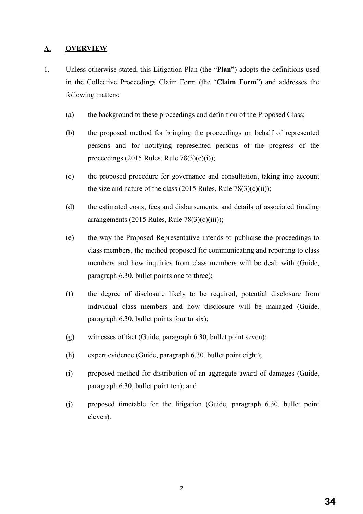# **A. OVERVIEW**

- 1. Unless otherwise stated, this Litigation Plan (the "**Plan**") adopts the definitions used in the Collective Proceedings Claim Form (the "**Claim Form**") and addresses the following matters:
	- (a) the background to these proceedings and definition of the Proposed Class;
	- (b) the proposed method for bringing the proceedings on behalf of represented persons and for notifying represented persons of the progress of the proceedings (2015 Rules, Rule  $78(3)(c)(i)$ );
	- (c) the proposed procedure for governance and consultation, taking into account the size and nature of the class  $(2015 \text{ Rules}, \text{Rule } 78(3)(c)(ii));$
	- (d) the estimated costs, fees and disbursements, and details of associated funding arrangements (2015 Rules, Rule  $78(3)(c)(iii)$ );
	- (e) the way the Proposed Representative intends to publicise the proceedings to class members, the method proposed for communicating and reporting to class members and how inquiries from class members will be dealt with (Guide, paragraph 6.30, bullet points one to three);
	- (f) the degree of disclosure likely to be required, potential disclosure from individual class members and how disclosure will be managed (Guide, paragraph 6.30, bullet points four to six);
	- (g) witnesses of fact (Guide, paragraph 6.30, bullet point seven);
	- (h) expert evidence (Guide, paragraph 6.30, bullet point eight);
	- (i) proposed method for distribution of an aggregate award of damages (Guide, paragraph 6.30, bullet point ten); and
	- (j) proposed timetable for the litigation (Guide, paragraph 6.30, bullet point eleven).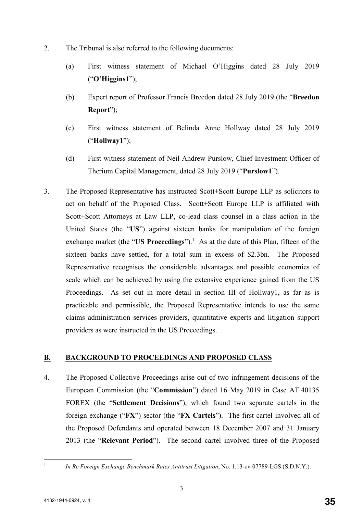- 2. The Tribunal is also referred to the following documents:
	- (a) First witness statement of Michael O'Higgins dated 28 July 2019 ("**O'Higgins1**");
	- (b) Expert report of Professor Francis Breedon dated 28 July 2019 (the "**Breedon Report**");
	- (c) First witness statement of Belinda Anne Hollway dated 28 July 2019 ("**Hollway1**");
	- (d) First witness statement of Neil Andrew Purslow, Chief Investment Officer of Therium Capital Management, dated 28 July 2019 ("**Purslow1**").
- 3. The Proposed Representative has instructed Scott+Scott Europe LLP as solicitors to act on behalf of the Proposed Class. Scott+Scott Europe LLP is affiliated with Scott+Scott Attorneys at Law LLP, co-lead class counsel in a class action in the United States (the "**US**") against sixteen banks for manipulation of the foreign exchange market (the "US Proceedings").<sup>1</sup> As at the date of this Plan, fifteen of the sixteen banks have settled, for a total sum in excess of \$2.3bn. The Proposed Representative recognises the considerable advantages and possible economies of scale which can be achieved by using the extensive experience gained from the US Proceedings. As set out in more detail in section III of Hollway1, as far as is practicable and permissible, the Proposed Representative intends to use the same claims administration services providers, quantitative experts and litigation support providers as were instructed in the US Proceedings.

## **B. BACKGROUND TO PROCEEDINGS AND PROPOSED CLASS**

4. The Proposed Collective Proceedings arise out of two infringement decisions of the European Commission (the "**Commission**") dated 16 May 2019 in Case AT.40135 FOREX (the "**Settlement Decisions**"), which found two separate cartels in the foreign exchange ("**FX**") sector (the "**FX Cartels**"). The first cartel involved all of the Proposed Defendants and operated between 18 December 2007 and 31 January 2013 (the "**Relevant Period**"). The second cartel involved three of the Proposed

 $\frac{1}{1}$ 

*In Re Foreign Exchange Benchmark Rates Antitrust Litigation*, No. 1:13-cv-07789-LGS (S.D.N.Y.).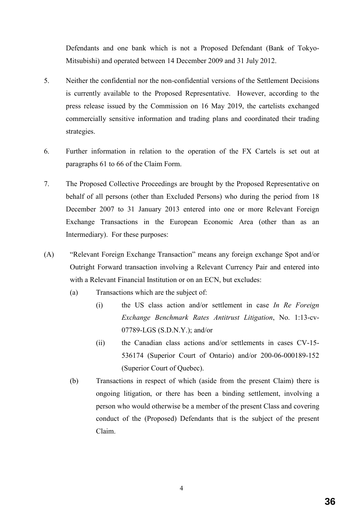Defendants and one bank which is not a Proposed Defendant (Bank of Tokyo-Mitsubishi) and operated between 14 December 2009 and 31 July 2012.

- 5. Neither the confidential nor the non-confidential versions of the Settlement Decisions is currently available to the Proposed Representative. However, according to the press release issued by the Commission on 16 May 2019, the cartelists exchanged commercially sensitive information and trading plans and coordinated their trading strategies.
- 6. Further information in relation to the operation of the FX Cartels is set out at paragraphs 61 to 66 of the Claim Form.
- 7. The Proposed Collective Proceedings are brought by the Proposed Representative on behalf of all persons (other than Excluded Persons) who during the period from 18 December 2007 to 31 January 2013 entered into one or more Relevant Foreign Exchange Transactions in the European Economic Area (other than as an Intermediary). For these purposes:
- (A) "Relevant Foreign Exchange Transaction" means any foreign exchange Spot and/or Outright Forward transaction involving a Relevant Currency Pair and entered into with a Relevant Financial Institution or on an ECN, but excludes:
	- (a) Transactions which are the subject of:
		- (i) the US class action and/or settlement in case *In Re Foreign Exchange Benchmark Rates Antitrust Litigation*, No. 1:13-cv-07789-LGS (S.D.N.Y.); and/or
		- (ii) the Canadian class actions and/or settlements in cases CV-15- 536174 (Superior Court of Ontario) and/or 200-06-000189-152 (Superior Court of Quebec).
	- (b) Transactions in respect of which (aside from the present Claim) there is ongoing litigation, or there has been a binding settlement, involving a person who would otherwise be a member of the present Class and covering conduct of the (Proposed) Defendants that is the subject of the present Claim.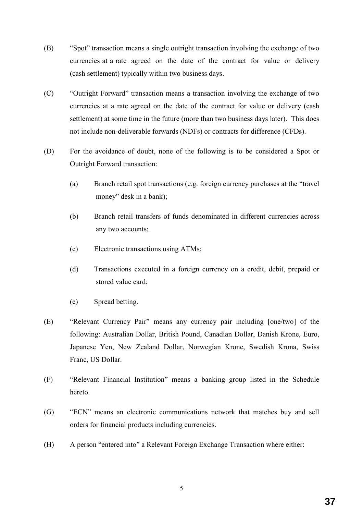- (B) "Spot" transaction means a single outright transaction involving the exchange of two currencies at a rate agreed on the date of the contract for value or delivery (cash settlement) typically within two business days.
- (C) "Outright Forward" transaction means a transaction involving the exchange of two currencies at a rate agreed on the date of the contract for value or delivery (cash settlement) at some time in the future (more than two business days later). This does not include non-deliverable forwards (NDFs) or contracts for difference (CFDs).
- (D) For the avoidance of doubt, none of the following is to be considered a Spot or Outright Forward transaction:
	- (a) Branch retail spot transactions (e.g. foreign currency purchases at the "travel money" desk in a bank);
	- (b) Branch retail transfers of funds denominated in different currencies across any two accounts;
	- (c) Electronic transactions using ATMs;
	- (d) Transactions executed in a foreign currency on a credit, debit, prepaid or stored value card;
	- (e) Spread betting.
- (E) "Relevant Currency Pair" means any currency pair including [one/two] of the following: Australian Dollar, British Pound, Canadian Dollar, Danish Krone, Euro, Japanese Yen, New Zealand Dollar, Norwegian Krone, Swedish Krona, Swiss Franc, US Dollar.
- (F) "Relevant Financial Institution" means a banking group listed in the Schedule hereto.
- (G) "ECN" means an electronic communications network that matches buy and sell orders for financial products including currencies.
- (H) A person "entered into" a Relevant Foreign Exchange Transaction where either: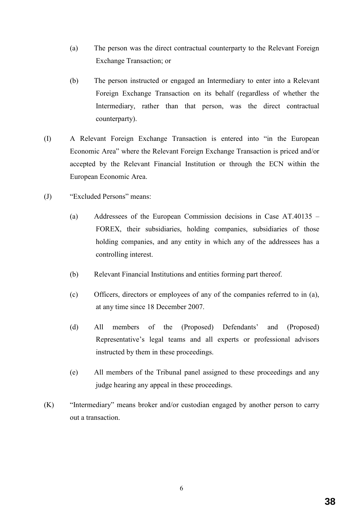- (a) The person was the direct contractual counterparty to the Relevant Foreign Exchange Transaction; or
- (b) The person instructed or engaged an Intermediary to enter into a Relevant Foreign Exchange Transaction on its behalf (regardless of whether the Intermediary, rather than that person, was the direct contractual counterparty).
- (I) A Relevant Foreign Exchange Transaction is entered into "in the European Economic Area" where the Relevant Foreign Exchange Transaction is priced and/or accepted by the Relevant Financial Institution or through the ECN within the European Economic Area.
- (J) "Excluded Persons" means:
	- (a) Addressees of the European Commission decisions in Case AT.40135 FOREX, their subsidiaries, holding companies, subsidiaries of those holding companies, and any entity in which any of the addressees has a controlling interest.
	- (b) Relevant Financial Institutions and entities forming part thereof.
	- (c) Officers, directors or employees of any of the companies referred to in (a), at any time since 18 December 2007.
	- (d) All members of the (Proposed) Defendants' and (Proposed) Representative's legal teams and all experts or professional advisors instructed by them in these proceedings.
	- (e) All members of the Tribunal panel assigned to these proceedings and any judge hearing any appeal in these proceedings.
- (K) "Intermediary" means broker and/or custodian engaged by another person to carry out a transaction.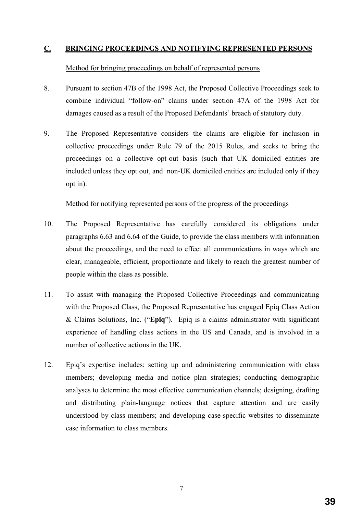## **C. BRINGING PROCEEDINGS AND NOTIFYING REPRESENTED PERSONS**

### Method for bringing proceedings on behalf of represented persons

- 8. Pursuant to section 47B of the 1998 Act, the Proposed Collective Proceedings seek to combine individual "follow-on" claims under section 47A of the 1998 Act for damages caused as a result of the Proposed Defendants' breach of statutory duty.
- 9. The Proposed Representative considers the claims are eligible for inclusion in collective proceedings under Rule 79 of the 2015 Rules, and seeks to bring the proceedings on a collective opt-out basis (such that UK domiciled entities are included unless they opt out, and non-UK domiciled entities are included only if they opt in).

#### Method for notifying represented persons of the progress of the proceedings

- 10. The Proposed Representative has carefully considered its obligations under paragraphs 6.63 and 6.64 of the Guide, to provide the class members with information about the proceedings, and the need to effect all communications in ways which are clear, manageable, efficient, proportionate and likely to reach the greatest number of people within the class as possible.
- 11. To assist with managing the Proposed Collective Proceedings and communicating with the Proposed Class, the Proposed Representative has engaged Epiq Class Action & Claims Solutions, Inc. ("**Epiq**"). Epiq is a claims administrator with significant experience of handling class actions in the US and Canada, and is involved in a number of collective actions in the UK.
- 12. Epiq's expertise includes: setting up and administering communication with class members; developing media and notice plan strategies; conducting demographic analyses to determine the most effective communication channels; designing, drafting and distributing plain-language notices that capture attention and are easily understood by class members; and developing case-specific websites to disseminate case information to class members.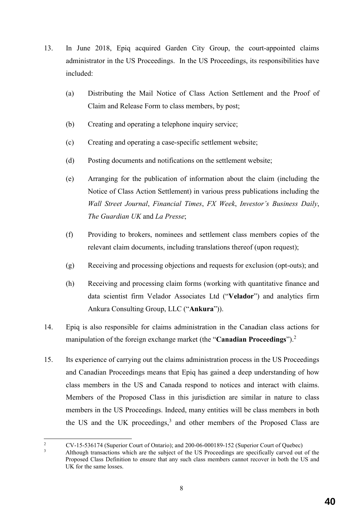- 13. In June 2018, Epiq acquired Garden City Group, the court-appointed claims administrator in the US Proceedings. In the US Proceedings, its responsibilities have included:
	- (a) Distributing the Mail Notice of Class Action Settlement and the Proof of Claim and Release Form to class members, by post;
	- (b) Creating and operating a telephone inquiry service;
	- (c) Creating and operating a case-specific settlement website;
	- (d) Posting documents and notifications on the settlement website;
	- (e) Arranging for the publication of information about the claim (including the Notice of Class Action Settlement) in various press publications including the *Wall Street Journal*, *Financial Times*, *FX Week*, *Investor's Business Daily*, *The Guardian UK* and *La Presse*;
	- (f) Providing to brokers, nominees and settlement class members copies of the relevant claim documents, including translations thereof (upon request);
	- (g) Receiving and processing objections and requests for exclusion (opt-outs); and
	- (h) Receiving and processing claim forms (working with quantitative finance and data scientist firm Velador Associates Ltd ("**Velador**") and analytics firm Ankura Consulting Group, LLC ("**Ankura**")).
- 14. Epiq is also responsible for claims administration in the Canadian class actions for manipulation of the foreign exchange market (the "**Canadian Proceedings**").<sup>2</sup>
- 15. Its experience of carrying out the claims administration process in the US Proceedings and Canadian Proceedings means that Epiq has gained a deep understanding of how class members in the US and Canada respond to notices and interact with claims. Members of the Proposed Class in this jurisdiction are similar in nature to class members in the US Proceedings. Indeed, many entities will be class members in both the US and the UK proceedings, $3$  and other members of the Proposed Class are

 $\frac{1}{2}$  CV-15-536174 (Superior Court of Ontario); and 200-06-000189-152 (Superior Court of Quebec) 3

Although transactions which are the subject of the US Proceedings are specifically carved out of the Proposed Class Definition to ensure that any such class members cannot recover in both the US and UK for the same losses.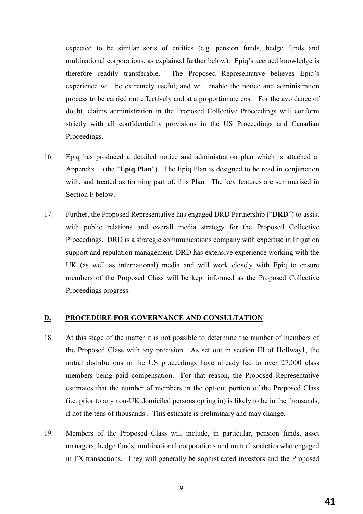expected to be similar sorts of entities (e.g. pension funds, hedge funds and multinational corporations, as explained further below). Epiq's accrued knowledge is therefore readily transferable. The Proposed Representative believes Epiq's experience will be extremely useful, and will enable the notice and administration process to be carried out effectively and at a proportionate cost. For the avoidance of doubt, claims administration in the Proposed Collective Proceedings will conform strictly with all confidentiality provisions in the US Proceedings and Canadian Proceedings.

- 16. Epiq has produced a detailed notice and administration plan which is attached at Appendix 1 (the "**Epiq Plan**"). The Epiq Plan is designed to be read in conjunction with, and treated as forming part of, this Plan. The key features are summarised in Section F below.
- 17. Further, the Proposed Representative has engaged DRD Partnership ("**DRD**") to assist with public relations and overall media strategy for the Proposed Collective Proceedings. DRD is a strategic communications company with expertise in litigation support and reputation management. DRD has extensive experience working with the UK (as well as international) media and will work closely with Epiq to ensure members of the Proposed Class will be kept informed as the Proposed Collective Proceedings progress.

## **D. PROCEDURE FOR GOVERNANCE AND CONSULTATION**

- 18. At this stage of the matter it is not possible to determine the number of members of the Proposed Class with any precision. As set out in section III of Hollway1, the initial distributions in the US proceedings have already led to over 27,000 class members being paid compensation. For that reason, the Proposed Representative estimates that the number of members in the opt-out portion of the Proposed Class (i.e. prior to any non-UK domiciled persons opting in) is likely to be in the thousands, if not the tens of thousands . This estimate is preliminary and may change.
- 19. Members of the Proposed Class will include, in particular, pension funds, asset managers, hedge funds, multinational corporations and mutual societies who engaged in FX transactions.They will generally be sophisticated investors and the Proposed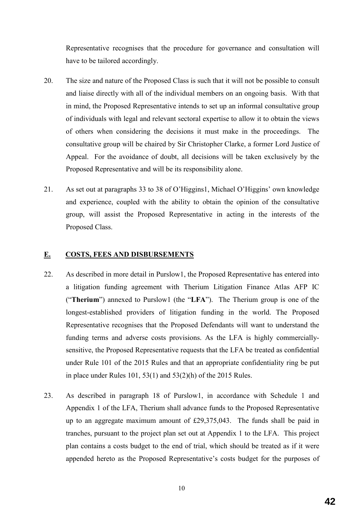Representative recognises that the procedure for governance and consultation will have to be tailored accordingly.

- 20. The size and nature of the Proposed Class is such that it will not be possible to consult and liaise directly with all of the individual members on an ongoing basis. With that in mind, the Proposed Representative intends to set up an informal consultative group of individuals with legal and relevant sectoral expertise to allow it to obtain the views of others when considering the decisions it must make in the proceedings. The consultative group will be chaired by Sir Christopher Clarke, a former Lord Justice of Appeal. For the avoidance of doubt, all decisions will be taken exclusively by the Proposed Representative and will be its responsibility alone.
- 21. As set out at paragraphs 33 to 38 of O'Higgins1, Michael O'Higgins' own knowledge and experience, coupled with the ability to obtain the opinion of the consultative group, will assist the Proposed Representative in acting in the interests of the Proposed Class.

## **E. COSTS, FEES AND DISBURSEMENTS**

- 22. As described in more detail in Purslow1, the Proposed Representative has entered into a litigation funding agreement with Therium Litigation Finance Atlas AFP IC ("**Therium**") annexed to Purslow1 (the "**LFA**"). The Therium group is one of the longest-established providers of litigation funding in the world. The Proposed Representative recognises that the Proposed Defendants will want to understand the funding terms and adverse costs provisions. As the LFA is highly commerciallysensitive, the Proposed Representative requests that the LFA be treated as confidential under Rule 101 of the 2015 Rules and that an appropriate confidentiality ring be put in place under Rules 101, 53(1) and  $53(2)(h)$  of the 2015 Rules.
- 23. As described in paragraph 18 of Purslow1, in accordance with Schedule 1 and Appendix 1 of the LFA, Therium shall advance funds to the Proposed Representative up to an aggregate maximum amount of £29,375,043. The funds shall be paid in tranches, pursuant to the project plan set out at Appendix 1 to the LFA. This project plan contains a costs budget to the end of trial, which should be treated as if it were appended hereto as the Proposed Representative's costs budget for the purposes of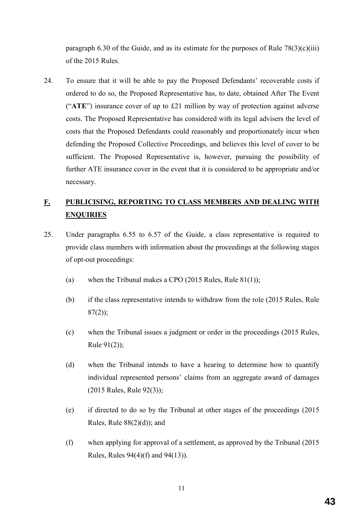paragraph 6.30 of the Guide, and as its estimate for the purposes of Rule  $78(3)(c)(iii)$ of the 2015 Rules.

24. To ensure that it will be able to pay the Proposed Defendants' recoverable costs if ordered to do so, the Proposed Representative has, to date, obtained After The Event ("**ATE**") insurance cover of up to £21 million by way of protection against adverse costs. The Proposed Representative has considered with its legal advisers the level of costs that the Proposed Defendants could reasonably and proportionately incur when defending the Proposed Collective Proceedings, and believes this level of cover to be sufficient. The Proposed Representative is, however, pursuing the possibility of further ATE insurance cover in the event that it is considered to be appropriate and/or necessary.

# **F. PUBLICISING, REPORTING TO CLASS MEMBERS AND DEALING WITH ENQUIRIES**

- 25. Under paragraphs 6.55 to 6.57 of the Guide, a class representative is required to provide class members with information about the proceedings at the following stages of opt-out proceedings:
	- (a) when the Tribunal makes a CPO (2015 Rules, Rule 81(1));
	- (b) if the class representative intends to withdraw from the role (2015 Rules, Rule  $87(2)$ ;
	- (c) when the Tribunal issues a judgment or order in the proceedings (2015 Rules, Rule 91(2));
	- (d) when the Tribunal intends to have a hearing to determine how to quantify individual represented persons' claims from an aggregate award of damages (2015 Rules, Rule 92(3));
	- (e) if directed to do so by the Tribunal at other stages of the proceedings (2015 Rules, Rule  $88(2)(d)$ ; and
	- (f) when applying for approval of a settlement, as approved by the Tribunal (2015 Rules, Rules 94(4)(f) and 94(13)).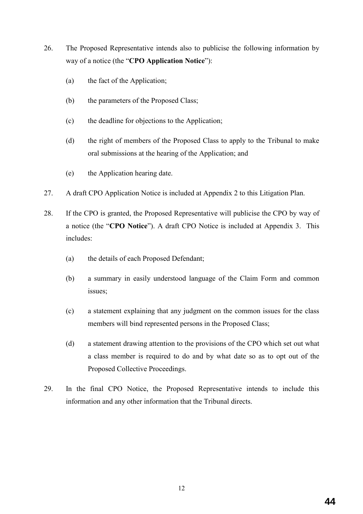- 26. The Proposed Representative intends also to publicise the following information by way of a notice (the "**CPO Application Notice**"):
	- (a) the fact of the Application;
	- (b) the parameters of the Proposed Class;
	- (c) the deadline for objections to the Application;
	- (d) the right of members of the Proposed Class to apply to the Tribunal to make oral submissions at the hearing of the Application; and
	- (e) the Application hearing date.
- 27. A draft CPO Application Notice is included at Appendix 2 to this Litigation Plan.
- 28. If the CPO is granted, the Proposed Representative will publicise the CPO by way of a notice (the "**CPO Notice**"). A draft CPO Notice is included at Appendix 3. This includes:
	- (a) the details of each Proposed Defendant;
	- (b) a summary in easily understood language of the Claim Form and common issues;
	- (c) a statement explaining that any judgment on the common issues for the class members will bind represented persons in the Proposed Class;
	- (d) a statement drawing attention to the provisions of the CPO which set out what a class member is required to do and by what date so as to opt out of the Proposed Collective Proceedings.
- 29. In the final CPO Notice, the Proposed Representative intends to include this information and any other information that the Tribunal directs.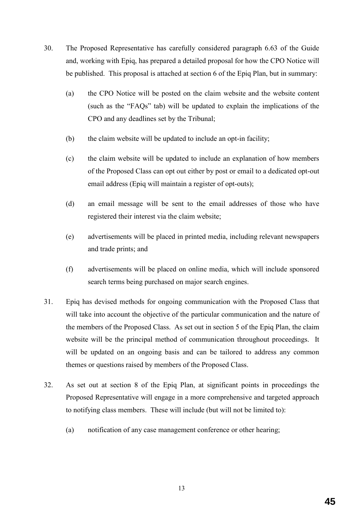- 30. The Proposed Representative has carefully considered paragraph 6.63 of the Guide and, working with Epiq, has prepared a detailed proposal for how the CPO Notice will be published. This proposal is attached at section 6 of the Epiq Plan, but in summary:
	- (a) the CPO Notice will be posted on the claim website and the website content (such as the "FAQs" tab) will be updated to explain the implications of the CPO and any deadlines set by the Tribunal;
	- (b) the claim website will be updated to include an opt-in facility;
	- (c) the claim website will be updated to include an explanation of how members of the Proposed Class can opt out either by post or email to a dedicated opt-out email address (Epiq will maintain a register of opt-outs);
	- (d) an email message will be sent to the email addresses of those who have registered their interest via the claim website;
	- (e) advertisements will be placed in printed media, including relevant newspapers and trade prints; and
	- (f) advertisements will be placed on online media, which will include sponsored search terms being purchased on major search engines.
- 31. Epiq has devised methods for ongoing communication with the Proposed Class that will take into account the objective of the particular communication and the nature of the members of the Proposed Class. As set out in section 5 of the Epiq Plan, the claim website will be the principal method of communication throughout proceedings. It will be updated on an ongoing basis and can be tailored to address any common themes or questions raised by members of the Proposed Class.
- 32. As set out at section 8 of the Epiq Plan, at significant points in proceedings the Proposed Representative will engage in a more comprehensive and targeted approach to notifying class members. These will include (but will not be limited to):
	- (a) notification of any case management conference or other hearing;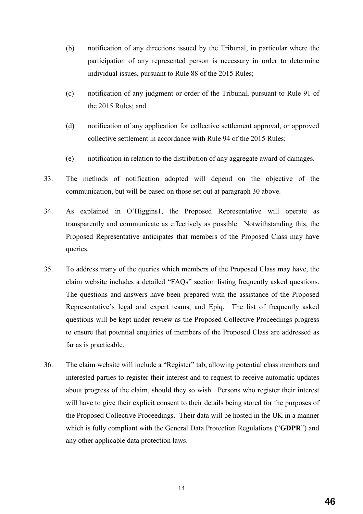- (b) notification of any directions issued by the Tribunal, in particular where the participation of any represented person is necessary in order to determine individual issues, pursuant to Rule 88 of the 2015 Rules;
- (c) notification of any judgment or order of the Tribunal, pursuant to Rule 91 of the 2015 Rules; and
- (d) notification of any application for collective settlement approval, or approved collective settlement in accordance with Rule 94 of the 2015 Rules;
- (e) notification in relation to the distribution of any aggregate award of damages.
- 33. The methods of notification adopted will depend on the objective of the communication, but will be based on those set out at paragraph 30 above.
- 34. As explained in O'Higgins1, the Proposed Representative will operate as transparently and communicate as effectively as possible. Notwithstanding this, the Proposed Representative anticipates that members of the Proposed Class may have queries.
- 35. To address many of the queries which members of the Proposed Class may have, the claim website includes a detailed "FAQs" section listing frequently asked questions. The questions and answers have been prepared with the assistance of the Proposed Representative's legal and expert teams, and Epiq. The list of frequently asked questions will be kept under review as the Proposed Collective Proceedings progress to ensure that potential enquiries of members of the Proposed Class are addressed as far as is practicable.
- 36. The claim website will include a "Register" tab, allowing potential class members and interested parties to register their interest and to request to receive automatic updates about progress of the claim, should they so wish. Persons who register their interest will have to give their explicit consent to their details being stored for the purposes of the Proposed Collective Proceedings. Their data will be hosted in the UK in a manner which is fully compliant with the General Data Protection Regulations ("**GDPR**") and any other applicable data protection laws.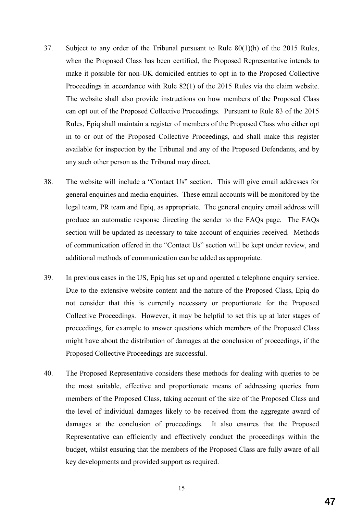- 37. Subject to any order of the Tribunal pursuant to Rule 80(1)(h) of the 2015 Rules, when the Proposed Class has been certified, the Proposed Representative intends to make it possible for non-UK domiciled entities to opt in to the Proposed Collective Proceedings in accordance with Rule 82(1) of the 2015 Rules via the claim website. The website shall also provide instructions on how members of the Proposed Class can opt out of the Proposed Collective Proceedings. Pursuant to Rule 83 of the 2015 Rules, Epiq shall maintain a register of members of the Proposed Class who either opt in to or out of the Proposed Collective Proceedings, and shall make this register available for inspection by the Tribunal and any of the Proposed Defendants, and by any such other person as the Tribunal may direct.
- 38. The website will include a "Contact Us" section. This will give email addresses for general enquiries and media enquiries. These email accounts will be monitored by the legal team, PR team and Epiq, as appropriate. The general enquiry email address will produce an automatic response directing the sender to the FAQs page. The FAQs section will be updated as necessary to take account of enquiries received. Methods of communication offered in the "Contact Us" section will be kept under review, and additional methods of communication can be added as appropriate.
- 39. In previous cases in the US, Epiq has set up and operated a telephone enquiry service. Due to the extensive website content and the nature of the Proposed Class, Epiq do not consider that this is currently necessary or proportionate for the Proposed Collective Proceedings. However, it may be helpful to set this up at later stages of proceedings, for example to answer questions which members of the Proposed Class might have about the distribution of damages at the conclusion of proceedings, if the Proposed Collective Proceedings are successful.
- 40. The Proposed Representative considers these methods for dealing with queries to be the most suitable, effective and proportionate means of addressing queries from members of the Proposed Class, taking account of the size of the Proposed Class and the level of individual damages likely to be received from the aggregate award of damages at the conclusion of proceedings. It also ensures that the Proposed Representative can efficiently and effectively conduct the proceedings within the budget, whilst ensuring that the members of the Proposed Class are fully aware of all key developments and provided support as required.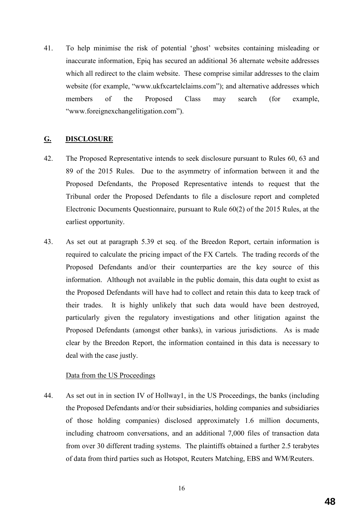41. To help minimise the risk of potential 'ghost' websites containing misleading or inaccurate information, Epiq has secured an additional 36 alternate website addresses which all redirect to the claim website. These comprise similar addresses to the claim website (for example, "www.ukfxcartelclaims.com"); and alternative addresses which members of the Proposed Class may search (for example, "www.foreignexchangelitigation.com").

#### **G. DISCLOSURE**

- 42. The Proposed Representative intends to seek disclosure pursuant to Rules 60, 63 and 89 of the 2015 Rules. Due to the asymmetry of information between it and the Proposed Defendants, the Proposed Representative intends to request that the Tribunal order the Proposed Defendants to file a disclosure report and completed Electronic Documents Questionnaire, pursuant to Rule 60(2) of the 2015 Rules, at the earliest opportunity.
- 43. As set out at paragraph 5.39 et seq. of the Breedon Report, certain information is required to calculate the pricing impact of the FX Cartels. The trading records of the Proposed Defendants and/or their counterparties are the key source of this information. Although not available in the public domain, this data ought to exist as the Proposed Defendants will have had to collect and retain this data to keep track of their trades. It is highly unlikely that such data would have been destroyed, particularly given the regulatory investigations and other litigation against the Proposed Defendants (amongst other banks), in various jurisdictions. As is made clear by the Breedon Report, the information contained in this data is necessary to deal with the case justly.

#### Data from the US Proceedings

44. As set out in in section IV of Hollway1, in the US Proceedings, the banks (including the Proposed Defendants and/or their subsidiaries, holding companies and subsidiaries of those holding companies) disclosed approximately 1.6 million documents, including chatroom conversations, and an additional 7,000 files of transaction data from over 30 different trading systems. The plaintiffs obtained a further 2.5 terabytes of data from third parties such as Hotspot, Reuters Matching, EBS and WM/Reuters.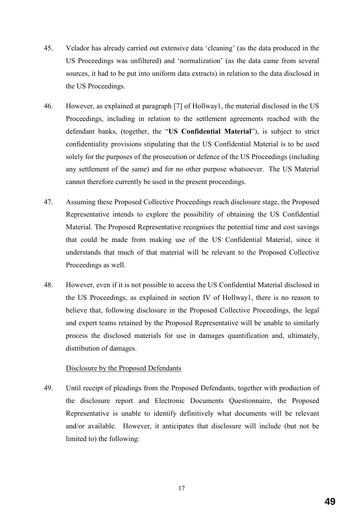- 45. Velador has already carried out extensive data 'cleaning' (as the data produced in the US Proceedings was unfiltered) and 'normalization' (as the data came from several sources, it had to be put into uniform data extracts) in relation to the data disclosed in the US Proceedings.
- 46. However, as explained at paragraph [7] of Hollway1, the material disclosed in the US Proceedings, including in relation to the settlement agreements reached with the defendant banks, (together, the "**US Confidential Material**"), is subject to strict confidentiality provisions stipulating that the US Confidential Material is to be used solely for the purposes of the prosecution or defence of the US Proceedings (including any settlement of the same) and for no other purpose whatsoever. The US Material cannot therefore currently be used in the present proceedings.
- 47. Assuming these Proposed Collective Proceedings reach disclosure stage, the Proposed Representative intends to explore the possibility of obtaining the US Confidential Material. The Proposed Representative recognises the potential time and cost savings that could be made from making use of the US Confidential Material, since it understands that much of that material will be relevant to the Proposed Collective Proceedings as well.
- 48. However, even if it is not possible to access the US Confidential Material disclosed in the US Proceedings, as explained in section IV of Hollway1, there is no reason to believe that, following disclosure in the Proposed Collective Proceedings, the legal and expert teams retained by the Proposed Representative will be unable to similarly process the disclosed materials for use in damages quantification and, ultimately, distribution of damages.

#### Disclosure by the Proposed Defendants

49. Until receipt of pleadings from the Proposed Defendants, together with production of the disclosure report and Electronic Documents Questionnaire, the Proposed Representative is unable to identify definitively what documents will be relevant and/or available. However, it anticipates that disclosure will include (but not be limited to) the following: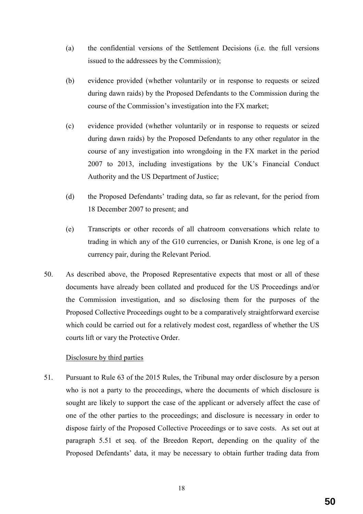- (a) the confidential versions of the Settlement Decisions (i.e. the full versions issued to the addressees by the Commission);
- (b) evidence provided (whether voluntarily or in response to requests or seized during dawn raids) by the Proposed Defendants to the Commission during the course of the Commission's investigation into the FX market;
- (c) evidence provided (whether voluntarily or in response to requests or seized during dawn raids) by the Proposed Defendants to any other regulator in the course of any investigation into wrongdoing in the FX market in the period 2007 to 2013, including investigations by the UK's Financial Conduct Authority and the US Department of Justice;
- (d) the Proposed Defendants' trading data, so far as relevant, for the period from 18 December 2007 to present; and
- (e) Transcripts or other records of all chatroom conversations which relate to trading in which any of the G10 currencies, or Danish Krone, is one leg of a currency pair, during the Relevant Period.
- 50. As described above, the Proposed Representative expects that most or all of these documents have already been collated and produced for the US Proceedings and/or the Commission investigation, and so disclosing them for the purposes of the Proposed Collective Proceedings ought to be a comparatively straightforward exercise which could be carried out for a relatively modest cost, regardless of whether the US courts lift or vary the Protective Order.

## Disclosure by third parties

51. Pursuant to Rule 63 of the 2015 Rules, the Tribunal may order disclosure by a person who is not a party to the proceedings, where the documents of which disclosure is sought are likely to support the case of the applicant or adversely affect the case of one of the other parties to the proceedings; and disclosure is necessary in order to dispose fairly of the Proposed Collective Proceedings or to save costs. As set out at paragraph 5.51 et seq. of the Breedon Report, depending on the quality of the Proposed Defendants' data, it may be necessary to obtain further trading data from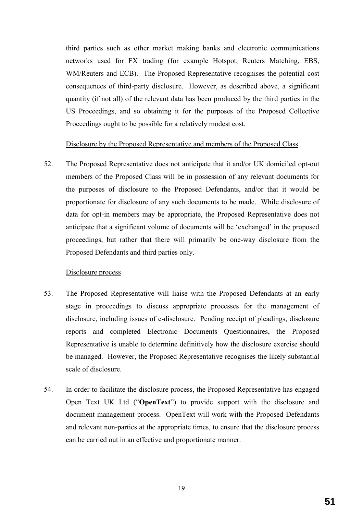third parties such as other market making banks and electronic communications networks used for FX trading (for example Hotspot, Reuters Matching, EBS, WM/Reuters and ECB). The Proposed Representative recognises the potential cost consequences of third-party disclosure. However, as described above, a significant quantity (if not all) of the relevant data has been produced by the third parties in the US Proceedings, and so obtaining it for the purposes of the Proposed Collective Proceedings ought to be possible for a relatively modest cost.

#### Disclosure by the Proposed Representative and members of the Proposed Class

52. The Proposed Representative does not anticipate that it and/or UK domiciled opt-out members of the Proposed Class will be in possession of any relevant documents for the purposes of disclosure to the Proposed Defendants, and/or that it would be proportionate for disclosure of any such documents to be made. While disclosure of data for opt-in members may be appropriate, the Proposed Representative does not anticipate that a significant volume of documents will be 'exchanged' in the proposed proceedings, but rather that there will primarily be one-way disclosure from the Proposed Defendants and third parties only.

#### Disclosure process

- 53. The Proposed Representative will liaise with the Proposed Defendants at an early stage in proceedings to discuss appropriate processes for the management of disclosure, including issues of e-disclosure. Pending receipt of pleadings, disclosure reports and completed Electronic Documents Questionnaires, the Proposed Representative is unable to determine definitively how the disclosure exercise should be managed. However, the Proposed Representative recognises the likely substantial scale of disclosure.
- 54. In order to facilitate the disclosure process, the Proposed Representative has engaged Open Text UK Ltd ("**OpenText**") to provide support with the disclosure and document management process. OpenText will work with the Proposed Defendants and relevant non-parties at the appropriate times, to ensure that the disclosure process can be carried out in an effective and proportionate manner.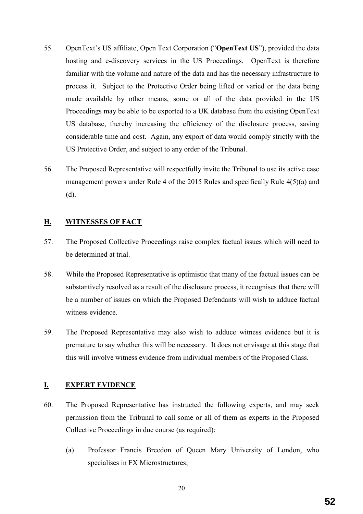- 55. OpenText's US affiliate, Open Text Corporation ("**OpenText US**"), provided the data hosting and e-discovery services in the US Proceedings. OpenText is therefore familiar with the volume and nature of the data and has the necessary infrastructure to process it. Subject to the Protective Order being lifted or varied or the data being made available by other means, some or all of the data provided in the US Proceedings may be able to be exported to a UK database from the existing OpenText US database, thereby increasing the efficiency of the disclosure process, saving considerable time and cost. Again, any export of data would comply strictly with the US Protective Order, and subject to any order of the Tribunal.
- 56. The Proposed Representative will respectfully invite the Tribunal to use its active case management powers under Rule 4 of the 2015 Rules and specifically Rule 4(5)(a) and (d).

## **H. WITNESSES OF FACT**

- 57. The Proposed Collective Proceedings raise complex factual issues which will need to be determined at trial.
- 58. While the Proposed Representative is optimistic that many of the factual issues can be substantively resolved as a result of the disclosure process, it recognises that there will be a number of issues on which the Proposed Defendants will wish to adduce factual witness evidence.
- 59. The Proposed Representative may also wish to adduce witness evidence but it is premature to say whether this will be necessary. It does not envisage at this stage that this will involve witness evidence from individual members of the Proposed Class.

#### **I. EXPERT EVIDENCE**

- 60. The Proposed Representative has instructed the following experts, and may seek permission from the Tribunal to call some or all of them as experts in the Proposed Collective Proceedings in due course (as required):
	- (a) Professor Francis Breedon of Queen Mary University of London, who specialises in FX Microstructures;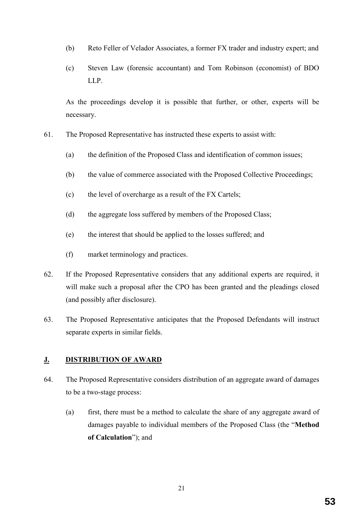- (b) Reto Feller of Velador Associates, a former FX trader and industry expert; and
- (c) Steven Law (forensic accountant) and Tom Robinson (economist) of BDO LLP.

As the proceedings develop it is possible that further, or other, experts will be necessary.

- 61. The Proposed Representative has instructed these experts to assist with:
	- (a) the definition of the Proposed Class and identification of common issues;
	- (b) the value of commerce associated with the Proposed Collective Proceedings;
	- (c) the level of overcharge as a result of the FX Cartels;
	- (d) the aggregate loss suffered by members of the Proposed Class;
	- (e) the interest that should be applied to the losses suffered; and
	- (f) market terminology and practices.
- 62. If the Proposed Representative considers that any additional experts are required, it will make such a proposal after the CPO has been granted and the pleadings closed (and possibly after disclosure).
- 63. The Proposed Representative anticipates that the Proposed Defendants will instruct separate experts in similar fields.

## **J. DISTRIBUTION OF AWARD**

- 64. The Proposed Representative considers distribution of an aggregate award of damages to be a two-stage process:
	- (a) first, there must be a method to calculate the share of any aggregate award of damages payable to individual members of the Proposed Class (the "**Method of Calculation**"); and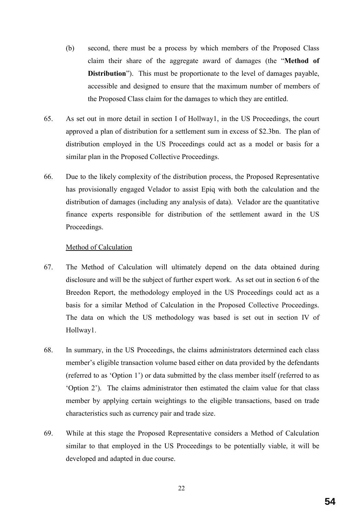- (b) second, there must be a process by which members of the Proposed Class claim their share of the aggregate award of damages (the "**Method of Distribution**"). This must be proportionate to the level of damages payable, accessible and designed to ensure that the maximum number of members of the Proposed Class claim for the damages to which they are entitled.
- 65. As set out in more detail in section I of Hollway1, in the US Proceedings, the court approved a plan of distribution for a settlement sum in excess of \$2.3bn. The plan of distribution employed in the US Proceedings could act as a model or basis for a similar plan in the Proposed Collective Proceedings.
- 66. Due to the likely complexity of the distribution process, the Proposed Representative has provisionally engaged Velador to assist Epiq with both the calculation and the distribution of damages (including any analysis of data). Velador are the quantitative finance experts responsible for distribution of the settlement award in the US Proceedings.

#### Method of Calculation

- 67. The Method of Calculation will ultimately depend on the data obtained during disclosure and will be the subject of further expert work. As set out in section 6 of the Breedon Report, the methodology employed in the US Proceedings could act as a basis for a similar Method of Calculation in the Proposed Collective Proceedings. The data on which the US methodology was based is set out in section IV of Hollway1.
- 68. In summary, in the US Proceedings, the claims administrators determined each class member's eligible transaction volume based either on data provided by the defendants (referred to as 'Option 1') or data submitted by the class member itself (referred to as 'Option 2'). The claims administrator then estimated the claim value for that class member by applying certain weightings to the eligible transactions, based on trade characteristics such as currency pair and trade size.
- 69. While at this stage the Proposed Representative considers a Method of Calculation similar to that employed in the US Proceedings to be potentially viable, it will be developed and adapted in due course.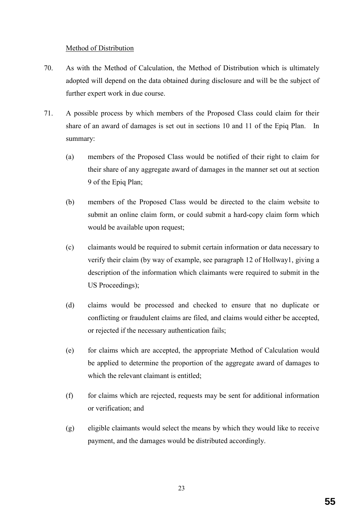### Method of Distribution

- 70. As with the Method of Calculation, the Method of Distribution which is ultimately adopted will depend on the data obtained during disclosure and will be the subject of further expert work in due course.
- 71. A possible process by which members of the Proposed Class could claim for their share of an award of damages is set out in sections 10 and 11 of the Epiq Plan. In summary:
	- (a) members of the Proposed Class would be notified of their right to claim for their share of any aggregate award of damages in the manner set out at section 9 of the Epiq Plan;
	- (b) members of the Proposed Class would be directed to the claim website to submit an online claim form, or could submit a hard-copy claim form which would be available upon request;
	- (c) claimants would be required to submit certain information or data necessary to verify their claim (by way of example, see paragraph 12 of Hollway1, giving a description of the information which claimants were required to submit in the US Proceedings);
	- (d) claims would be processed and checked to ensure that no duplicate or conflicting or fraudulent claims are filed, and claims would either be accepted, or rejected if the necessary authentication fails;
	- (e) for claims which are accepted, the appropriate Method of Calculation would be applied to determine the proportion of the aggregate award of damages to which the relevant claimant is entitled;
	- (f) for claims which are rejected, requests may be sent for additional information or verification; and
	- (g) eligible claimants would select the means by which they would like to receive payment, and the damages would be distributed accordingly.